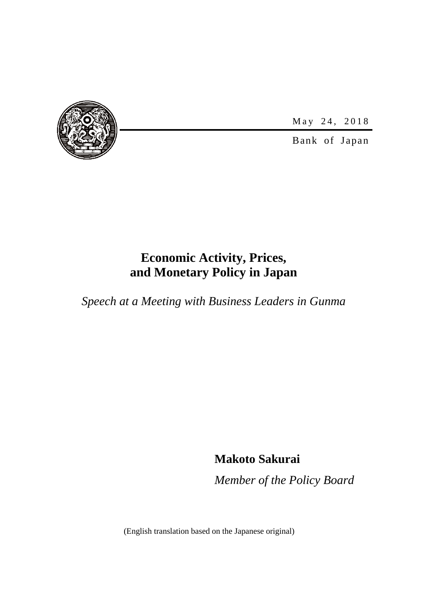

May 24, 2018

Bank of Japan

# **Economic Activity, Prices, and Monetary Policy in Japan**

*Speech at a Meeting with Business Leaders in Gunma*

**Makoto Sakurai**

*Member of the Policy Board*

(English translation based on the Japanese original)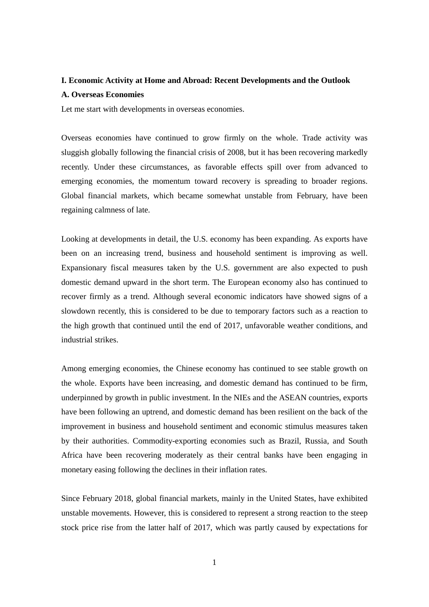# **I. Economic Activity at Home and Abroad: Recent Developments and the Outlook A. Overseas Economies**

Let me start with developments in overseas economies.

Overseas economies have continued to grow firmly on the whole. Trade activity was sluggish globally following the financial crisis of 2008, but it has been recovering markedly recently. Under these circumstances, as favorable effects spill over from advanced to emerging economies, the momentum toward recovery is spreading to broader regions. Global financial markets, which became somewhat unstable from February, have been regaining calmness of late.

Looking at developments in detail, the U.S. economy has been expanding. As exports have been on an increasing trend, business and household sentiment is improving as well. Expansionary fiscal measures taken by the U.S. government are also expected to push domestic demand upward in the short term. The European economy also has continued to recover firmly as a trend. Although several economic indicators have showed signs of a slowdown recently, this is considered to be due to temporary factors such as a reaction to the high growth that continued until the end of 2017, unfavorable weather conditions, and industrial strikes.

Among emerging economies, the Chinese economy has continued to see stable growth on the whole. Exports have been increasing, and domestic demand has continued to be firm, underpinned by growth in public investment. In the NIEs and the ASEAN countries, exports have been following an uptrend, and domestic demand has been resilient on the back of the improvement in business and household sentiment and economic stimulus measures taken by their authorities. Commodity-exporting economies such as Brazil, Russia, and South Africa have been recovering moderately as their central banks have been engaging in monetary easing following the declines in their inflation rates.

Since February 2018, global financial markets, mainly in the United States, have exhibited unstable movements. However, this is considered to represent a strong reaction to the steep stock price rise from the latter half of 2017, which was partly caused by expectations for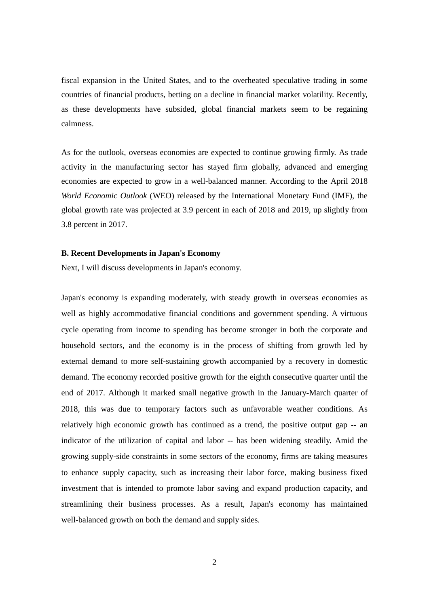fiscal expansion in the United States, and to the overheated speculative trading in some countries of financial products, betting on a decline in financial market volatility. Recently, as these developments have subsided, global financial markets seem to be regaining calmness.

As for the outlook, overseas economies are expected to continue growing firmly. As trade activity in the manufacturing sector has stayed firm globally, advanced and emerging economies are expected to grow in a well-balanced manner. According to the April 2018 *World Economic Outlook* (WEO) released by the International Monetary Fund (IMF), the global growth rate was projected at 3.9 percent in each of 2018 and 2019, up slightly from 3.8 percent in 2017.

#### **B. Recent Developments in Japan's Economy**

Next, I will discuss developments in Japan's economy.

Japan's economy is expanding moderately, with steady growth in overseas economies as well as highly accommodative financial conditions and government spending. A virtuous cycle operating from income to spending has become stronger in both the corporate and household sectors, and the economy is in the process of shifting from growth led by external demand to more self-sustaining growth accompanied by a recovery in domestic demand. The economy recorded positive growth for the eighth consecutive quarter until the end of 2017. Although it marked small negative growth in the January-March quarter of 2018, this was due to temporary factors such as unfavorable weather conditions. As relatively high economic growth has continued as a trend, the positive output gap -- an indicator of the utilization of capital and labor -- has been widening steadily. Amid the growing supply-side constraints in some sectors of the economy, firms are taking measures to enhance supply capacity, such as increasing their labor force, making business fixed investment that is intended to promote labor saving and expand production capacity, and streamlining their business processes. As a result, Japan's economy has maintained well-balanced growth on both the demand and supply sides.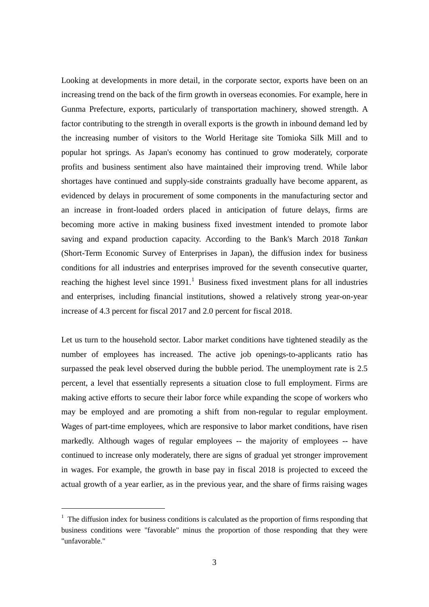Looking at developments in more detail, in the corporate sector, exports have been on an increasing trend on the back of the firm growth in overseas economies. For example, here in Gunma Prefecture, exports, particularly of transportation machinery, showed strength. A factor contributing to the strength in overall exports is the growth in inbound demand led by the increasing number of visitors to the World Heritage site Tomioka Silk Mill and to popular hot springs. As Japan's economy has continued to grow moderately, corporate profits and business sentiment also have maintained their improving trend. While labor shortages have continued and supply-side constraints gradually have become apparent, as evidenced by delays in procurement of some components in the manufacturing sector and an increase in front-loaded orders placed in anticipation of future delays, firms are becoming more active in making business fixed investment intended to promote labor saving and expand production capacity. According to the Bank's March 2018 *Tankan* (Short-Term Economic Survey of Enterprises in Japan), the diffusion index for business conditions for all industries and enterprises improved for the seventh consecutive quarter, reaching the highest level since  $1991<sup>1</sup>$  $1991<sup>1</sup>$  Business fixed investment plans for all industries and enterprises, including financial institutions, showed a relatively strong year-on-year increase of 4.3 percent for fiscal 2017 and 2.0 percent for fiscal 2018.

Let us turn to the household sector. Labor market conditions have tightened steadily as the number of employees has increased. The active job openings-to-applicants ratio has surpassed the peak level observed during the bubble period. The unemployment rate is 2.5 percent, a level that essentially represents a situation close to full employment. Firms are making active efforts to secure their labor force while expanding the scope of workers who may be employed and are promoting a shift from non-regular to regular employment. Wages of part-time employees, which are responsive to labor market conditions, have risen markedly. Although wages of regular employees -- the majority of employees -- have continued to increase only moderately, there are signs of gradual yet stronger improvement in wages. For example, the growth in base pay in fiscal 2018 is projected to exceed the actual growth of a year earlier, as in the previous year, and the share of firms raising wages

1

<span id="page-3-0"></span> $<sup>1</sup>$  The diffusion index for business conditions is calculated as the proportion of firms responding that</sup> business conditions were "favorable" minus the proportion of those responding that they were "unfavorable."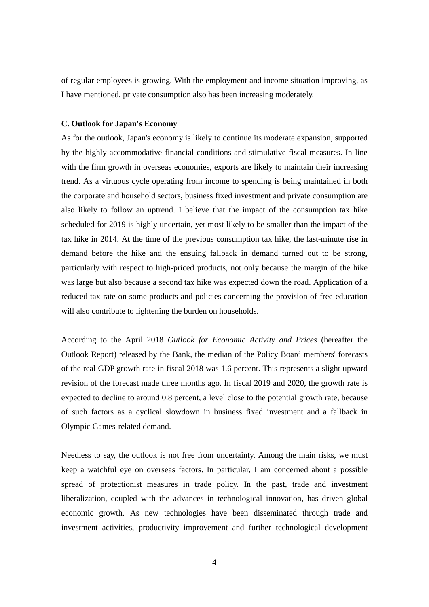of regular employees is growing. With the employment and income situation improving, as I have mentioned, private consumption also has been increasing moderately.

# **C. Outlook for Japan's Economy**

As for the outlook, Japan's economy is likely to continue its moderate expansion, supported by the highly accommodative financial conditions and stimulative fiscal measures. In line with the firm growth in overseas economies, exports are likely to maintain their increasing trend. As a virtuous cycle operating from income to spending is being maintained in both the corporate and household sectors, business fixed investment and private consumption are also likely to follow an uptrend. I believe that the impact of the consumption tax hike scheduled for 2019 is highly uncertain, yet most likely to be smaller than the impact of the tax hike in 2014. At the time of the previous consumption tax hike, the last-minute rise in demand before the hike and the ensuing fallback in demand turned out to be strong, particularly with respect to high-priced products, not only because the margin of the hike was large but also because a second tax hike was expected down the road. Application of a reduced tax rate on some products and policies concerning the provision of free education will also contribute to lightening the burden on households.

According to the April 2018 *Outlook for Economic Activity and Prices* (hereafter the Outlook Report) released by the Bank, the median of the Policy Board members' forecasts of the real GDP growth rate in fiscal 2018 was 1.6 percent. This represents a slight upward revision of the forecast made three months ago. In fiscal 2019 and 2020, the growth rate is expected to decline to around 0.8 percent, a level close to the potential growth rate, because of such factors as a cyclical slowdown in business fixed investment and a fallback in Olympic Games-related demand.

Needless to say, the outlook is not free from uncertainty. Among the main risks, we must keep a watchful eye on overseas factors. In particular, I am concerned about a possible spread of protectionist measures in trade policy. In the past, trade and investment liberalization, coupled with the advances in technological innovation, has driven global economic growth. As new technologies have been disseminated through trade and investment activities, productivity improvement and further technological development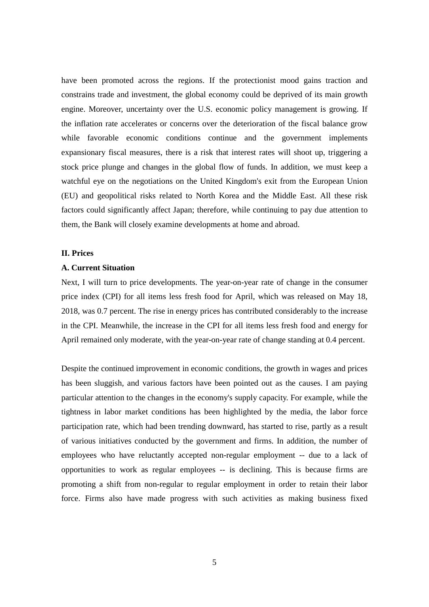have been promoted across the regions. If the protectionist mood gains traction and constrains trade and investment, the global economy could be deprived of its main growth engine. Moreover, uncertainty over the U.S. economic policy management is growing. If the inflation rate accelerates or concerns over the deterioration of the fiscal balance grow while favorable economic conditions continue and the government implements expansionary fiscal measures, there is a risk that interest rates will shoot up, triggering a stock price plunge and changes in the global flow of funds. In addition, we must keep a watchful eye on the negotiations on the United Kingdom's exit from the European Union (EU) and geopolitical risks related to North Korea and the Middle East. All these risk factors could significantly affect Japan; therefore, while continuing to pay due attention to them, the Bank will closely examine developments at home and abroad.

# **II. Prices**

# **A. Current Situation**

Next, I will turn to price developments. The year-on-year rate of change in the consumer price index (CPI) for all items less fresh food for April, which was released on May 18, 2018, was 0.7 percent. The rise in energy prices has contributed considerably to the increase in the CPI. Meanwhile, the increase in the CPI for all items less fresh food and energy for April remained only moderate, with the year-on-year rate of change standing at 0.4 percent.

Despite the continued improvement in economic conditions, the growth in wages and prices has been sluggish, and various factors have been pointed out as the causes. I am paying particular attention to the changes in the economy's supply capacity. For example, while the tightness in labor market conditions has been highlighted by the media, the labor force participation rate, which had been trending downward, has started to rise, partly as a result of various initiatives conducted by the government and firms. In addition, the number of employees who have reluctantly accepted non-regular employment -- due to a lack of opportunities to work as regular employees -- is declining. This is because firms are promoting a shift from non-regular to regular employment in order to retain their labor force. Firms also have made progress with such activities as making business fixed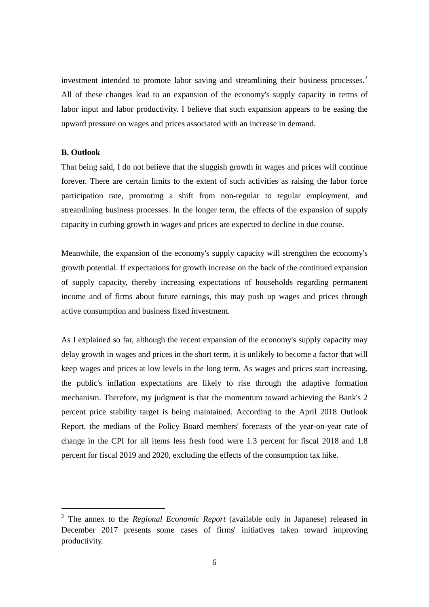investment intended to promote labor saving and streamlining their business processes.<sup>[2](#page-6-0)</sup> All of these changes lead to an expansion of the economy's supply capacity in terms of labor input and labor productivity. I believe that such expansion appears to be easing the upward pressure on wages and prices associated with an increase in demand.

# **B. Outlook**

1

That being said, I do not believe that the sluggish growth in wages and prices will continue forever. There are certain limits to the extent of such activities as raising the labor force participation rate, promoting a shift from non-regular to regular employment, and streamlining business processes. In the longer term, the effects of the expansion of supply capacity in curbing growth in wages and prices are expected to decline in due course.

Meanwhile, the expansion of the economy's supply capacity will strengthen the economy's growth potential. If expectations for growth increase on the back of the continued expansion of supply capacity, thereby increasing expectations of households regarding permanent income and of firms about future earnings, this may push up wages and prices through active consumption and business fixed investment.

As I explained so far, although the recent expansion of the economy's supply capacity may delay growth in wages and prices in the short term, it is unlikely to become a factor that will keep wages and prices at low levels in the long term. As wages and prices start increasing, the public's inflation expectations are likely to rise through the adaptive formation mechanism. Therefore, my judgment is that the momentum toward achieving the Bank's 2 percent price stability target is being maintained. According to the April 2018 Outlook Report, the medians of the Policy Board members' forecasts of the year-on-year rate of change in the CPI for all items less fresh food were 1.3 percent for fiscal 2018 and 1.8 percent for fiscal 2019 and 2020, excluding the effects of the consumption tax hike.

<span id="page-6-0"></span><sup>2</sup> The annex to the *Regional Economic Report* (available only in Japanese) released in December 2017 presents some cases of firms' initiatives taken toward improving productivity.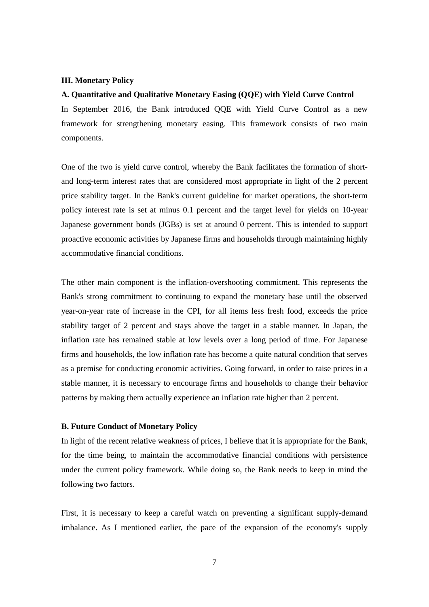#### **III. Monetary Policy**

## **A. Quantitative and Qualitative Monetary Easing (QQE) with Yield Curve Control**

In September 2016, the Bank introduced QQE with Yield Curve Control as a new framework for strengthening monetary easing. This framework consists of two main components.

One of the two is yield curve control, whereby the Bank facilitates the formation of shortand long-term interest rates that are considered most appropriate in light of the 2 percent price stability target. In the Bank's current guideline for market operations, the short-term policy interest rate is set at minus 0.1 percent and the target level for yields on 10-year Japanese government bonds (JGBs) is set at around 0 percent. This is intended to support proactive economic activities by Japanese firms and households through maintaining highly accommodative financial conditions.

The other main component is the inflation-overshooting commitment. This represents the Bank's strong commitment to continuing to expand the monetary base until the observed year-on-year rate of increase in the CPI, for all items less fresh food, exceeds the price stability target of 2 percent and stays above the target in a stable manner. In Japan, the inflation rate has remained stable at low levels over a long period of time. For Japanese firms and households, the low inflation rate has become a quite natural condition that serves as a premise for conducting economic activities. Going forward, in order to raise prices in a stable manner, it is necessary to encourage firms and households to change their behavior patterns by making them actually experience an inflation rate higher than 2 percent.

# **B. Future Conduct of Monetary Policy**

In light of the recent relative weakness of prices, I believe that it is appropriate for the Bank, for the time being, to maintain the accommodative financial conditions with persistence under the current policy framework. While doing so, the Bank needs to keep in mind the following two factors.

First, it is necessary to keep a careful watch on preventing a significant supply-demand imbalance. As I mentioned earlier, the pace of the expansion of the economy's supply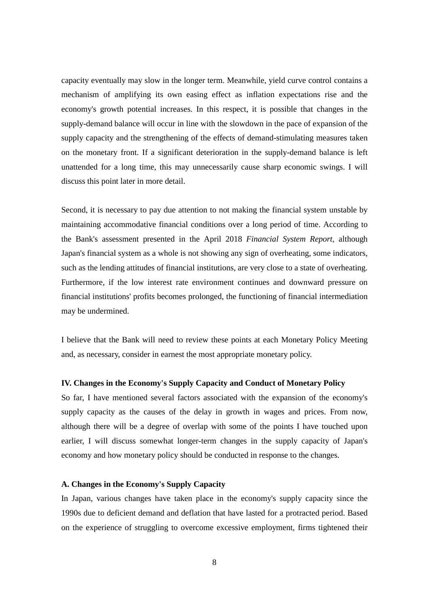capacity eventually may slow in the longer term. Meanwhile, yield curve control contains a mechanism of amplifying its own easing effect as inflation expectations rise and the economy's growth potential increases. In this respect, it is possible that changes in the supply-demand balance will occur in line with the slowdown in the pace of expansion of the supply capacity and the strengthening of the effects of demand-stimulating measures taken on the monetary front. If a significant deterioration in the supply-demand balance is left unattended for a long time, this may unnecessarily cause sharp economic swings. I will discuss this point later in more detail.

Second, it is necessary to pay due attention to not making the financial system unstable by maintaining accommodative financial conditions over a long period of time. According to the Bank's assessment presented in the April 2018 *Financial System Report*, although Japan's financial system as a whole is not showing any sign of overheating, some indicators, such as the lending attitudes of financial institutions, are very close to a state of overheating. Furthermore, if the low interest rate environment continues and downward pressure on financial institutions' profits becomes prolonged, the functioning of financial intermediation may be undermined.

I believe that the Bank will need to review these points at each Monetary Policy Meeting and, as necessary, consider in earnest the most appropriate monetary policy.

# **IV. Changes in the Economy's Supply Capacity and Conduct of Monetary Policy**

So far, I have mentioned several factors associated with the expansion of the economy's supply capacity as the causes of the delay in growth in wages and prices. From now, although there will be a degree of overlap with some of the points I have touched upon earlier, I will discuss somewhat longer-term changes in the supply capacity of Japan's economy and how monetary policy should be conducted in response to the changes.

# **A. Changes in the Economy's Supply Capacity**

In Japan, various changes have taken place in the economy's supply capacity since the 1990s due to deficient demand and deflation that have lasted for a protracted period. Based on the experience of struggling to overcome excessive employment, firms tightened their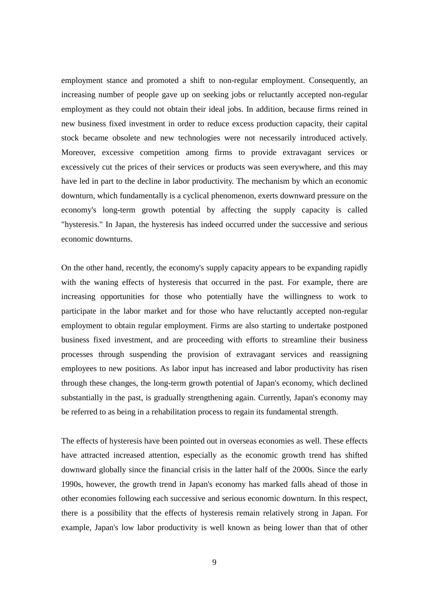employment stance and promoted a shift to non-regular employment. Consequently, an increasing number of people gave up on seeking jobs or reluctantly accepted non-regular employment as they could not obtain their ideal jobs. In addition, because firms reined in new business fixed investment in order to reduce excess production capacity, their capital stock became obsolete and new technologies were not necessarily introduced actively. Moreover, excessive competition among firms to provide extravagant services or excessively cut the prices of their services or products was seen everywhere, and this may have led in part to the decline in labor productivity. The mechanism by which an economic downturn, which fundamentally is a cyclical phenomenon, exerts downward pressure on the economy's long-term growth potential by affecting the supply capacity is called "hysteresis." In Japan, the hysteresis has indeed occurred under the successive and serious economic downturns.

On the other hand, recently, the economy's supply capacity appears to be expanding rapidly with the waning effects of hysteresis that occurred in the past. For example, there are increasing opportunities for those who potentially have the willingness to work to participate in the labor market and for those who have reluctantly accepted non-regular employment to obtain regular employment. Firms are also starting to undertake postponed business fixed investment, and are proceeding with efforts to streamline their business processes through suspending the provision of extravagant services and reassigning employees to new positions. As labor input has increased and labor productivity has risen through these changes, the long-term growth potential of Japan's economy, which declined substantially in the past, is gradually strengthening again. Currently, Japan's economy may be referred to as being in a rehabilitation process to regain its fundamental strength.

The effects of hysteresis have been pointed out in overseas economies as well. These effects have attracted increased attention, especially as the economic growth trend has shifted downward globally since the financial crisis in the latter half of the 2000s. Since the early 1990s, however, the growth trend in Japan's economy has marked falls ahead of those in other economies following each successive and serious economic downturn. In this respect, there is a possibility that the effects of hysteresis remain relatively strong in Japan. For example, Japan's low labor productivity is well known as being lower than that of other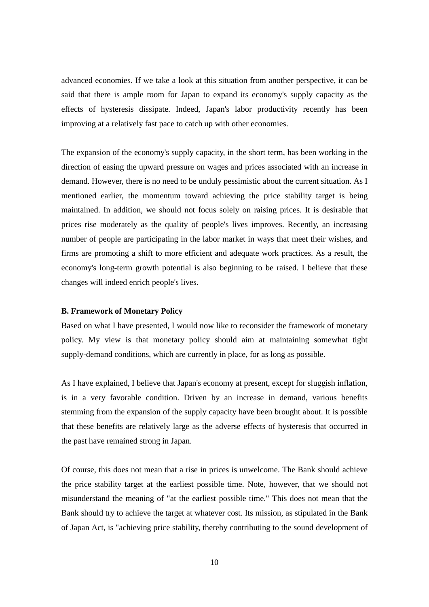advanced economies. If we take a look at this situation from another perspective, it can be said that there is ample room for Japan to expand its economy's supply capacity as the effects of hysteresis dissipate. Indeed, Japan's labor productivity recently has been improving at a relatively fast pace to catch up with other economies.

The expansion of the economy's supply capacity, in the short term, has been working in the direction of easing the upward pressure on wages and prices associated with an increase in demand. However, there is no need to be unduly pessimistic about the current situation. As I mentioned earlier, the momentum toward achieving the price stability target is being maintained. In addition, we should not focus solely on raising prices. It is desirable that prices rise moderately as the quality of people's lives improves. Recently, an increasing number of people are participating in the labor market in ways that meet their wishes, and firms are promoting a shift to more efficient and adequate work practices. As a result, the economy's long-term growth potential is also beginning to be raised. I believe that these changes will indeed enrich people's lives.

# **B. Framework of Monetary Policy**

Based on what I have presented, I would now like to reconsider the framework of monetary policy. My view is that monetary policy should aim at maintaining somewhat tight supply-demand conditions, which are currently in place, for as long as possible.

As I have explained, I believe that Japan's economy at present, except for sluggish inflation, is in a very favorable condition. Driven by an increase in demand, various benefits stemming from the expansion of the supply capacity have been brought about. It is possible that these benefits are relatively large as the adverse effects of hysteresis that occurred in the past have remained strong in Japan.

Of course, this does not mean that a rise in prices is unwelcome. The Bank should achieve the price stability target at the earliest possible time. Note, however, that we should not misunderstand the meaning of "at the earliest possible time." This does not mean that the Bank should try to achieve the target at whatever cost. Its mission, as stipulated in the Bank of Japan Act, is "achieving price stability, thereby contributing to the sound development of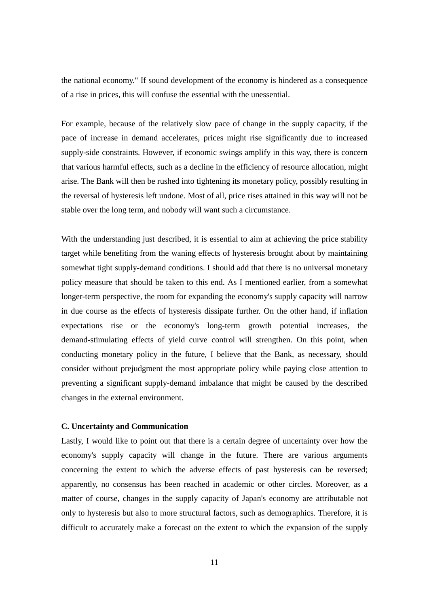the national economy." If sound development of the economy is hindered as a consequence of a rise in prices, this will confuse the essential with the unessential.

For example, because of the relatively slow pace of change in the supply capacity, if the pace of increase in demand accelerates, prices might rise significantly due to increased supply-side constraints. However, if economic swings amplify in this way, there is concern that various harmful effects, such as a decline in the efficiency of resource allocation, might arise. The Bank will then be rushed into tightening its monetary policy, possibly resulting in the reversal of hysteresis left undone. Most of all, price rises attained in this way will not be stable over the long term, and nobody will want such a circumstance.

With the understanding just described, it is essential to aim at achieving the price stability target while benefiting from the waning effects of hysteresis brought about by maintaining somewhat tight supply-demand conditions. I should add that there is no universal monetary policy measure that should be taken to this end. As I mentioned earlier, from a somewhat longer-term perspective, the room for expanding the economy's supply capacity will narrow in due course as the effects of hysteresis dissipate further. On the other hand, if inflation expectations rise or the economy's long-term growth potential increases, the demand-stimulating effects of yield curve control will strengthen. On this point, when conducting monetary policy in the future, I believe that the Bank, as necessary, should consider without prejudgment the most appropriate policy while paying close attention to preventing a significant supply-demand imbalance that might be caused by the described changes in the external environment.

### **C. Uncertainty and Communication**

Lastly, I would like to point out that there is a certain degree of uncertainty over how the economy's supply capacity will change in the future. There are various arguments concerning the extent to which the adverse effects of past hysteresis can be reversed; apparently, no consensus has been reached in academic or other circles. Moreover, as a matter of course, changes in the supply capacity of Japan's economy are attributable not only to hysteresis but also to more structural factors, such as demographics. Therefore, it is difficult to accurately make a forecast on the extent to which the expansion of the supply